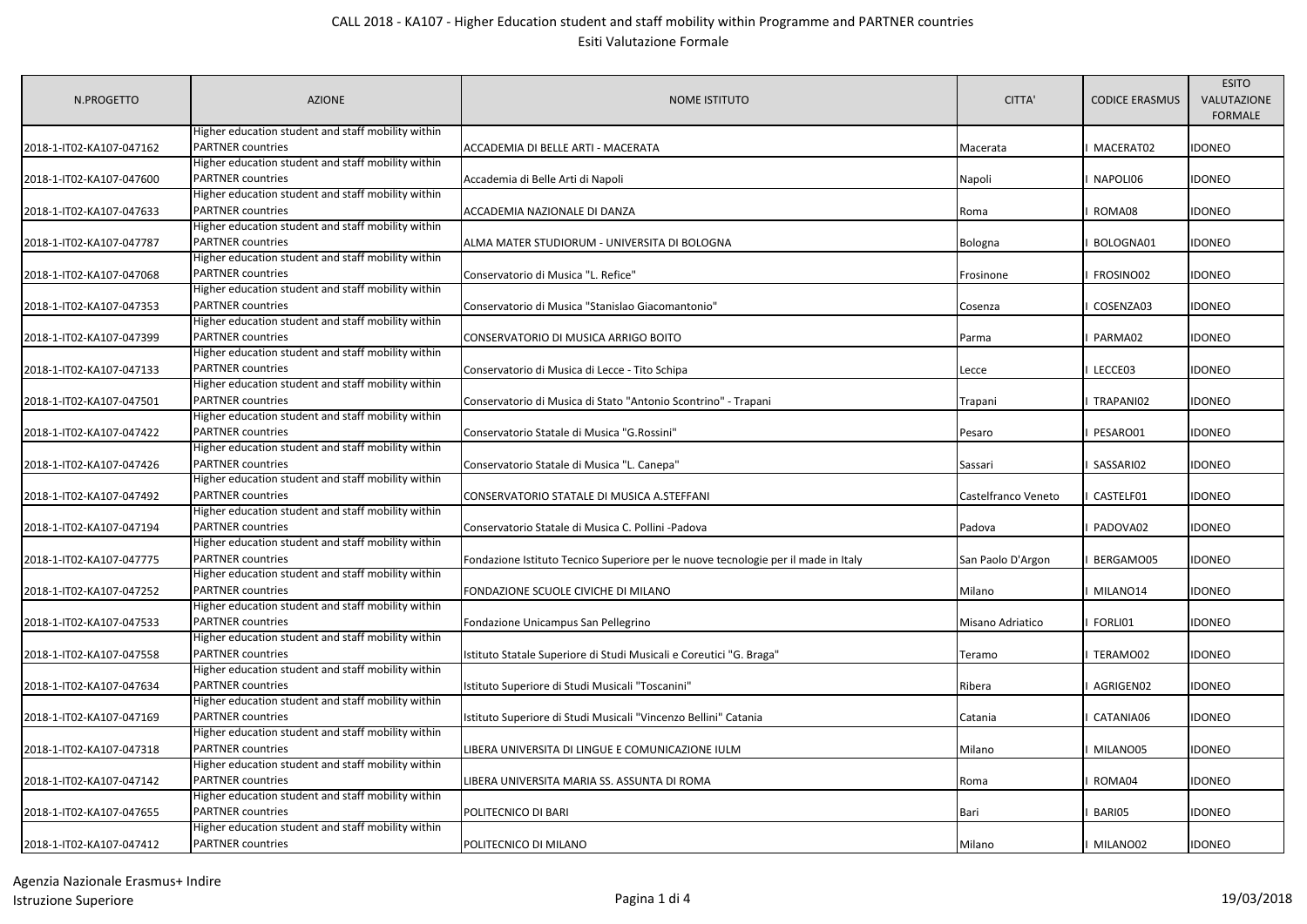| N.PROGETTO               | <b>AZIONE</b>                                                                  | <b>NOME ISTITUTO</b>                                                               | CITTA'              | <b>CODICE ERASMUS</b> | <b>ESITO</b><br>VALUTAZIONE<br><b>FORMALE</b> |
|--------------------------|--------------------------------------------------------------------------------|------------------------------------------------------------------------------------|---------------------|-----------------------|-----------------------------------------------|
|                          | Higher education student and staff mobility within<br><b>PARTNER</b> countries |                                                                                    |                     |                       |                                               |
| 2018-1-IT02-KA107-047162 | Higher education student and staff mobility within                             | ACCADEMIA DI BELLE ARTI - MACERATA                                                 | Macerata            | MACERAT02             | <b>IDONEO</b>                                 |
| 2018-1-IT02-KA107-047600 | <b>PARTNER</b> countries                                                       |                                                                                    |                     | NAPOLI06              | <b>IDONEO</b>                                 |
|                          | Higher education student and staff mobility within                             | Accademia di Belle Arti di Napoli                                                  | Napoli              |                       |                                               |
| 2018-1-IT02-KA107-047633 | <b>PARTNER countries</b>                                                       | ACCADEMIA NAZIONALE DI DANZA                                                       | Roma                | ROMA08                | idoneo                                        |
|                          | Higher education student and staff mobility within                             |                                                                                    |                     |                       |                                               |
|                          | <b>PARTNER countries</b>                                                       |                                                                                    |                     | BOLOGNA01             | <b>IDONEO</b>                                 |
| 2018-1-IT02-KA107-047787 | Higher education student and staff mobility within                             | ALMA MATER STUDIORUM - UNIVERSITA DI BOLOGNA                                       | Bologna             |                       |                                               |
|                          | <b>PARTNER</b> countries                                                       |                                                                                    |                     | FROSINO02             | idoneo                                        |
| 2018-1-IT02-KA107-047068 | Higher education student and staff mobility within                             | Conservatorio di Musica "L. Refice"                                                | Frosinone           |                       |                                               |
|                          | <b>PARTNER</b> countries                                                       |                                                                                    |                     |                       |                                               |
| 2018-1-IT02-KA107-047353 | Higher education student and staff mobility within                             | Conservatorio di Musica "Stanislao Giacomantonio"                                  | Cosenza             | COSENZA03             | idoneo                                        |
|                          | <b>PARTNER</b> countries                                                       |                                                                                    |                     |                       |                                               |
| 2018-1-IT02-KA107-047399 | Higher education student and staff mobility within                             | CONSERVATORIO DI MUSICA ARRIGO BOITO                                               | Parma               | PARMA02               | idoneo                                        |
|                          | <b>PARTNER</b> countries                                                       |                                                                                    |                     |                       |                                               |
| 2018-1-IT02-KA107-047133 |                                                                                | Conservatorio di Musica di Lecce - Tito Schipa                                     | Lecce               | LECCE03               | idoneo                                        |
|                          | Higher education student and staff mobility within                             |                                                                                    |                     |                       |                                               |
| 2018-1-IT02-KA107-047501 | PARTNER countries                                                              | Conservatorio di Musica di Stato "Antonio Scontrino" - Trapani                     | Trapani             | TRAPANI02             | idoneo                                        |
|                          | Higher education student and staff mobility within                             |                                                                                    |                     |                       |                                               |
| 2018-1-IT02-KA107-047422 | <b>PARTNER</b> countries                                                       | Conservatorio Statale di Musica "G.Rossini"                                        | Pesaro              | PESARO01              | <b>IDONEO</b>                                 |
|                          | Higher education student and staff mobility within                             |                                                                                    |                     |                       |                                               |
| 2018-1-IT02-KA107-047426 | <b>PARTNER</b> countries                                                       | Conservatorio Statale di Musica "L. Canepa"                                        | Sassari             | SASSARI02             | <b>IDONEO</b>                                 |
|                          | Higher education student and staff mobility within                             |                                                                                    |                     |                       |                                               |
| 2018-1-IT02-KA107-047492 | <b>PARTNER countries</b>                                                       | CONSERVATORIO STATALE DI MUSICA A.STEFFANI                                         | Castelfranco Veneto | CASTELF01             | <b>IDONEO</b>                                 |
|                          | Higher education student and staff mobility within                             |                                                                                    |                     |                       |                                               |
| 2018-1-IT02-KA107-047194 | <b>PARTNER</b> countries                                                       | Conservatorio Statale di Musica C. Pollini -Padova                                 | Padova              | PADOVA02              | idoneo                                        |
|                          | Higher education student and staff mobility within                             |                                                                                    |                     |                       |                                               |
| 2018-1-IT02-KA107-047775 | <b>PARTNER</b> countries                                                       | Fondazione Istituto Tecnico Superiore per le nuove tecnologie per il made in Italy | San Paolo D'Argon   | BERGAMO05             | IDONEO                                        |
|                          | Higher education student and staff mobility within                             |                                                                                    |                     |                       |                                               |
| 2018-1-IT02-KA107-047252 | <b>PARTNER</b> countries                                                       | FONDAZIONE SCUOLE CIVICHE DI MILANO                                                | Milano              | MILANO14              | <b>IDONEO</b>                                 |
|                          | Higher education student and staff mobility within                             |                                                                                    |                     |                       |                                               |
| 2018-1-IT02-KA107-047533 | <b>PARTNER</b> countries                                                       | Fondazione Unicampus San Pellegrino                                                | Misano Adriatico    | FORLI01               | <b>IDONEO</b>                                 |
|                          | Higher education student and staff mobility within                             |                                                                                    |                     |                       |                                               |
| 2018-1-IT02-KA107-047558 | <b>PARTNER</b> countries                                                       | Istituto Statale Superiore di Studi Musicali e Coreutici "G. Braga"                | Teramo              | TERAMO02              | <b>IDONEO</b>                                 |
|                          | Higher education student and staff mobility within                             |                                                                                    |                     |                       |                                               |
| 2018-1-IT02-KA107-047634 | <b>PARTNER</b> countries                                                       | Istituto Superiore di Studi Musicali "Toscanini"                                   | Ribera              | AGRIGEN02             | <b>IDONEO</b>                                 |
|                          | Higher education student and staff mobility within                             |                                                                                    |                     |                       |                                               |
| 2018-1-IT02-KA107-047169 | <b>PARTNER</b> countries                                                       | Istituto Superiore di Studi Musicali "Vincenzo Bellini" Catania                    | Catania             | CATANIA06             | <b>IDONEO</b>                                 |
|                          | Higher education student and staff mobility within                             |                                                                                    |                     |                       |                                               |
| 2018-1-IT02-KA107-047318 | <b>PARTNER</b> countries                                                       | LIBERA UNIVERSITA DI LINGUE E COMUNICAZIONE IULM                                   | Milano              | MILANO05              | idoneo                                        |
|                          | Higher education student and staff mobility within                             |                                                                                    |                     |                       |                                               |
| 2018-1-IT02-KA107-047142 | <b>PARTNER</b> countries                                                       | LIBERA UNIVERSITA MARIA SS. ASSUNTA DI ROMA                                        | Roma                | ROMA04                | <b>IDONEO</b>                                 |
|                          | Higher education student and staff mobility within                             |                                                                                    |                     |                       |                                               |
| 2018-1-IT02-KA107-047655 | <b>PARTNER</b> countries                                                       | POLITECNICO DI BARI                                                                | Bari                | BARI05                | IDONEO                                        |
|                          | Higher education student and staff mobility within                             |                                                                                    |                     |                       |                                               |
| 2018-1-IT02-KA107-047412 | <b>PARTNER</b> countries                                                       | POLITECNICO DI MILANO                                                              | Milano              | I MILANO02            | <b>IDONEO</b>                                 |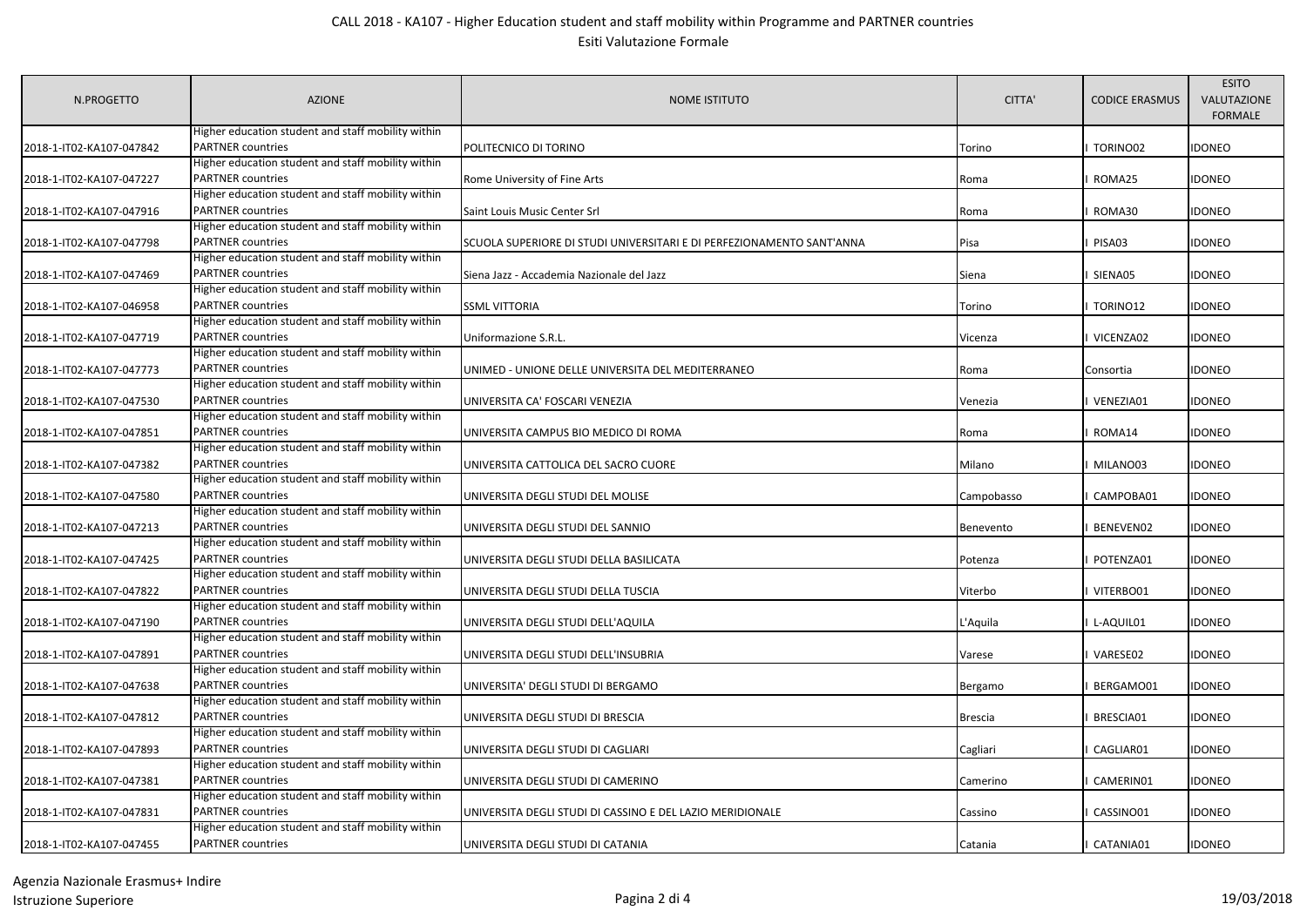| N.PROGETTO               | <b>AZIONE</b>                                                           | <b>NOME ISTITUTO</b>                                                  | CITTA'         | <b>CODICE ERASMUS</b> | <b>ESITO</b><br>VALUTAZIONE<br><b>FORMALE</b> |
|--------------------------|-------------------------------------------------------------------------|-----------------------------------------------------------------------|----------------|-----------------------|-----------------------------------------------|
|                          | Higher education student and staff mobility within<br>PARTNER countries |                                                                       |                |                       |                                               |
| 2018-1-IT02-KA107-047842 | Higher education student and staff mobility within                      | POLITECNICO DI TORINO                                                 | Torino         | TORINO02              | idoneo                                        |
| 2018-1-IT02-KA107-047227 | PARTNER countries                                                       |                                                                       |                | ROMA25                | idoneo                                        |
|                          | Higher education student and staff mobility within                      | Rome University of Fine Arts                                          | Roma           |                       |                                               |
| 2018-1-IT02-KA107-047916 | PARTNER countries                                                       | Saint Louis Music Center Srl                                          | Roma           | ROMA30                | IDONEO                                        |
|                          | Higher education student and staff mobility within                      |                                                                       |                |                       |                                               |
| 2018-1-IT02-KA107-047798 | <b>PARTNER</b> countries                                                | SCUOLA SUPERIORE DI STUDI UNIVERSITARI E DI PERFEZIONAMENTO SANT'ANNA | Pisa           | PISA03                | <b>IDONEO</b>                                 |
|                          | Higher education student and staff mobility within                      |                                                                       |                |                       |                                               |
| 2018-1-IT02-KA107-047469 | <b>PARTNER countries</b>                                                | Siena Jazz - Accademia Nazionale del Jazz                             | Siena          | SIENA05               | IDONEO                                        |
|                          | Higher education student and staff mobility within                      |                                                                       |                |                       |                                               |
| 2018-1-IT02-KA107-046958 | <b>PARTNER</b> countries                                                | <b>SSML VITTORIA</b>                                                  | Torino         | TORINO12              | IDONEO                                        |
|                          | Higher education student and staff mobility within                      |                                                                       |                |                       |                                               |
| 2018-1-IT02-KA107-047719 | PARTNER countries                                                       | Uniformazione S.R.L.                                                  | Vicenza        | VICENZA02             | idoneo                                        |
|                          | Higher education student and staff mobility within                      |                                                                       |                |                       |                                               |
| 2018-1-IT02-KA107-047773 | <b>PARTNER</b> countries                                                | UNIMED - UNIONE DELLE UNIVERSITA DEL MEDITERRANEO                     | Roma           | Consortia             | idoneo                                        |
|                          | Higher education student and staff mobility within                      |                                                                       |                |                       |                                               |
| 2018-1-IT02-KA107-047530 | <b>PARTNER countries</b>                                                | UNIVERSITA CA' FOSCARI VENEZIA                                        | Venezia        | VENEZIA01             | idoneo                                        |
|                          | Higher education student and staff mobility within                      |                                                                       |                |                       |                                               |
| 2018-1-IT02-KA107-047851 | PARTNER countries                                                       | UNIVERSITA CAMPUS BIO MEDICO DI ROMA                                  | Roma           | ROMA14                | <b>IDONEO</b>                                 |
|                          | Higher education student and staff mobility within                      |                                                                       |                |                       |                                               |
| 2018-1-IT02-KA107-047382 | PARTNER countries                                                       | UNIVERSITA CATTOLICA DEL SACRO CUORE                                  | Milano         | MILANO03              | <b>IDONEO</b>                                 |
|                          | Higher education student and staff mobility within                      |                                                                       |                |                       |                                               |
| 2018-1-IT02-KA107-047580 | <b>PARTNER</b> countries                                                | UNIVERSITA DEGLI STUDI DEL MOLISE                                     | Campobasso     | CAMPOBA01             | <b>IDONEO</b>                                 |
|                          | Higher education student and staff mobility within                      |                                                                       |                |                       |                                               |
| 2018-1-IT02-KA107-047213 | PARTNER countries                                                       | UNIVERSITA DEGLI STUDI DEL SANNIO                                     | Benevento      | BENEVEN02             | idoneo                                        |
|                          | Higher education student and staff mobility within                      |                                                                       |                |                       |                                               |
| 2018-1-IT02-KA107-047425 | PARTNER countries                                                       | UNIVERSITA DEGLI STUDI DELLA BASILICATA                               | Potenza        | POTENZA01             | <b>IDONEO</b>                                 |
|                          | Higher education student and staff mobility within                      |                                                                       |                |                       |                                               |
| 2018-1-IT02-KA107-047822 | PARTNER countries                                                       | UNIVERSITA DEGLI STUDI DELLA TUSCIA                                   | Viterbo        | VITERBO01             | IDONEO                                        |
|                          | Higher education student and staff mobility within                      |                                                                       |                |                       |                                               |
| 2018-1-IT02-KA107-047190 | PARTNER countries                                                       | UNIVERSITA DEGLI STUDI DELL'AQUILA                                    | L'Aquila       | L-AQUIL01             | IDONEO                                        |
|                          | Higher education student and staff mobility within                      |                                                                       |                |                       |                                               |
| 2018-1-IT02-KA107-047891 | PARTNER countries<br>Higher education student and staff mobility within | UNIVERSITA DEGLI STUDI DELL'INSUBRIA                                  | Varese         | VARESE02              | IDONEO                                        |
| 2018-1-IT02-KA107-047638 | PARTNER countries                                                       | UNIVERSITA' DEGLI STUDI DI BERGAMO                                    |                |                       | IDONEO                                        |
|                          | Higher education student and staff mobility within                      |                                                                       | Bergamo        | BERGAMO01             |                                               |
| 2018-1-IT02-KA107-047812 | PARTNER countries                                                       | UNIVERSITA DEGLI STUDI DI BRESCIA                                     | <b>Brescia</b> | BRESCIA01             | <b>IDONEO</b>                                 |
|                          | Higher education student and staff mobility within                      |                                                                       |                |                       |                                               |
| 2018-1-IT02-KA107-047893 | PARTNER countries                                                       | UNIVERSITA DEGLI STUDI DI CAGLIARI                                    | Cagliari       | CAGLIAR01             | <b>IDONEO</b>                                 |
|                          | Higher education student and staff mobility within                      |                                                                       |                |                       |                                               |
| 2018-1-IT02-KA107-047381 | PARTNER countries                                                       | UNIVERSITA DEGLI STUDI DI CAMERINO                                    | Camerino       | CAMERIN01             | <b>IDONEO</b>                                 |
|                          | Higher education student and staff mobility within                      |                                                                       |                |                       |                                               |
| 2018-1-IT02-KA107-047831 | PARTNER countries                                                       | UNIVERSITA DEGLI STUDI DI CASSINO E DEL LAZIO MERIDIONALE             | Cassino        | CASSINO01             | idoneo                                        |
|                          | Higher education student and staff mobility within                      |                                                                       |                |                       |                                               |
| 2018-1-IT02-KA107-047455 | <b>PARTNER</b> countries                                                | UNIVERSITA DEGLI STUDI DI CATANIA                                     | Catania        | CATANIA01             | <b>IDONEO</b>                                 |
|                          |                                                                         |                                                                       |                |                       |                                               |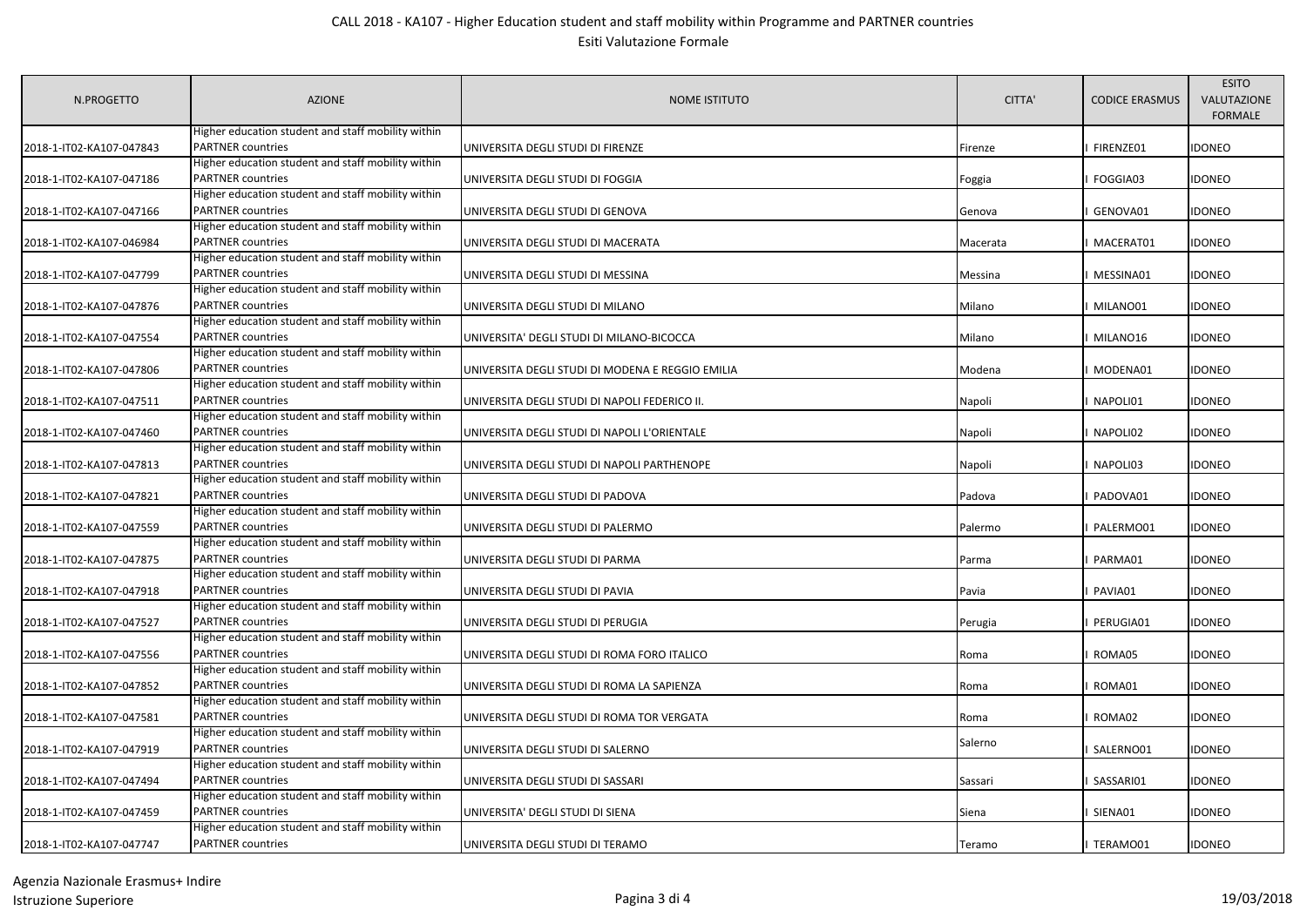| N.PROGETTO               | <b>AZIONE</b>                                                           | <b>NOME ISTITUTO</b>                             | CITTA'   | <b>CODICE ERASMUS</b> | <b>ESITO</b><br>VALUTAZIONE<br><b>FORMALE</b> |
|--------------------------|-------------------------------------------------------------------------|--------------------------------------------------|----------|-----------------------|-----------------------------------------------|
|                          | Higher education student and staff mobility within                      |                                                  |          |                       |                                               |
| 2018-1-IT02-KA107-047843 | <b>PARTNER</b> countries                                                | UNIVERSITA DEGLI STUDI DI FIRENZE                | Firenze  | FIRENZE01             | <b>IDONEO</b>                                 |
|                          | Higher education student and staff mobility within<br>PARTNER countries |                                                  |          |                       |                                               |
| 2018-1-IT02-KA107-047186 | Higher education student and staff mobility within                      | UNIVERSITA DEGLI STUDI DI FOGGIA                 | Foggia   | FOGGIA03              | <b>IDONEO</b>                                 |
| 2018-1-IT02-KA107-047166 | <b>PARTNER</b> countries                                                | UNIVERSITA DEGLI STUDI DI GENOVA                 | Genova   | GENOVA01              | <b>IDONEO</b>                                 |
|                          | Higher education student and staff mobility within                      |                                                  |          |                       |                                               |
| 2018-1-IT02-KA107-046984 | PARTNER countries                                                       | UNIVERSITA DEGLI STUDI DI MACERATA               | Macerata | MACERAT01             | idoneo                                        |
|                          | Higher education student and staff mobility within                      |                                                  |          |                       |                                               |
| 2018-1-IT02-KA107-047799 | <b>PARTNER</b> countries                                                | UNIVERSITA DEGLI STUDI DI MESSINA                | Messina  | MESSINA01             | idoneo                                        |
|                          | Higher education student and staff mobility within                      |                                                  |          |                       |                                               |
| 2018-1-IT02-KA107-047876 | PARTNER countries                                                       | UNIVERSITA DEGLI STUDI DI MILANO                 | Milano   | MILANO01              | idoneo                                        |
|                          | Higher education student and staff mobility within                      |                                                  |          |                       |                                               |
| 2018-1-IT02-KA107-047554 | <b>PARTNER countries</b>                                                | UNIVERSITA' DEGLI STUDI DI MILANO-BICOCCA        | Milano   | MILANO16              | <b>IDONEO</b>                                 |
|                          | Higher education student and staff mobility within                      |                                                  |          |                       |                                               |
| 2018-1-IT02-KA107-047806 | <b>PARTNER countries</b>                                                | UNIVERSITA DEGLI STUDI DI MODENA E REGGIO EMILIA | Modena   | MODENA01              | idoneo                                        |
|                          | Higher education student and staff mobility within                      |                                                  |          |                       |                                               |
| 2018-1-IT02-KA107-047511 | PARTNER countries                                                       | UNIVERSITA DEGLI STUDI DI NAPOLI FEDERICO II.    | Napoli   | NAPOLI01              | idoneo                                        |
|                          | Higher education student and staff mobility within                      |                                                  |          |                       |                                               |
| 2018-1-IT02-KA107-047460 | <b>PARTNER countries</b>                                                | UNIVERSITA DEGLI STUDI DI NAPOLI L'ORIENTALE     | Napoli   | NAPOLI02              | <b>IDONEO</b>                                 |
|                          | Higher education student and staff mobility within                      |                                                  |          |                       |                                               |
| 2018-1-IT02-KA107-047813 | PARTNER countries                                                       | UNIVERSITA DEGLI STUDI DI NAPOLI PARTHENOPE      | Napoli   | NAPOLI03              | <b>IDONEO</b>                                 |
|                          | Higher education student and staff mobility within                      |                                                  |          |                       |                                               |
| 2018-1-IT02-KA107-047821 | PARTNER countries                                                       | UNIVERSITA DEGLI STUDI DI PADOVA                 | Padova   | PADOVA01              | <b>IDONEO</b>                                 |
|                          | Higher education student and staff mobility within                      |                                                  |          |                       |                                               |
| 2018-1-IT02-KA107-047559 | PARTNER countries                                                       | UNIVERSITA DEGLI STUDI DI PALERMO                | Palermo  | PALERMO01             | idoneo                                        |
|                          | Higher education student and staff mobility within                      |                                                  |          |                       |                                               |
| 2018-1-IT02-KA107-047875 | PARTNER countries                                                       | UNIVERSITA DEGLI STUDI DI PARMA                  | Parma    | PARMA01               | <b>IDONEO</b>                                 |
|                          | Higher education student and staff mobility within                      |                                                  |          |                       |                                               |
| 2018-1-IT02-KA107-047918 | PARTNER countries                                                       | UNIVERSITA DEGLI STUDI DI PAVIA                  | Pavia    | PAVIA01               | <b>IDONEO</b>                                 |
|                          | Higher education student and staff mobility within                      |                                                  |          |                       |                                               |
| 2018-1-IT02-KA107-047527 | PARTNER countries<br>Higher education student and staff mobility within | UNIVERSITA DEGLI STUDI DI PERUGIA                | Perugia  | PERUGIA01             | <b>IDONEO</b>                                 |
| 2018-1-IT02-KA107-047556 | PARTNER countries                                                       | UNIVERSITA DEGLI STUDI DI ROMA FORO ITALICO      | Roma     | ROMA05                | idoneo                                        |
|                          | Higher education student and staff mobility within                      |                                                  |          |                       |                                               |
| 2018-1-IT02-KA107-047852 | PARTNER countries                                                       | UNIVERSITA DEGLI STUDI DI ROMA LA SAPIENZA       | Roma     | ROMA01                | <b>IDONEO</b>                                 |
|                          | Higher education student and staff mobility within                      |                                                  |          |                       |                                               |
| 2018-1-IT02-KA107-047581 | <b>PARTNER</b> countries                                                | UNIVERSITA DEGLI STUDI DI ROMA TOR VERGATA       | Roma     | ROMA02                | <b>IDONEO</b>                                 |
|                          | Higher education student and staff mobility within                      |                                                  |          |                       |                                               |
| 2018-1-IT02-KA107-047919 | PARTNER countries                                                       | UNIVERSITA DEGLI STUDI DI SALERNO                | Salerno  | SALERNO01             | <b>IDONEO</b>                                 |
|                          | Higher education student and staff mobility within                      |                                                  |          |                       |                                               |
| 2018-1-IT02-KA107-047494 | PARTNER countries                                                       | UNIVERSITA DEGLI STUDI DI SASSARI                | Sassari  | SASSARI01             | <b>IDONEO</b>                                 |
|                          | Higher education student and staff mobility within                      |                                                  |          |                       |                                               |
| 2018-1-IT02-KA107-047459 | PARTNER countries                                                       | UNIVERSITA' DEGLI STUDI DI SIENA                 | Siena    | SIENA01               | IDONEO                                        |
|                          | Higher education student and staff mobility within                      |                                                  |          |                       |                                               |
| 2018-1-IT02-KA107-047747 | <b>PARTNER countries</b>                                                | UNIVERSITA DEGLI STUDI DI TERAMO                 | Teramo   | TERAMO01              | <b>IDONEO</b>                                 |